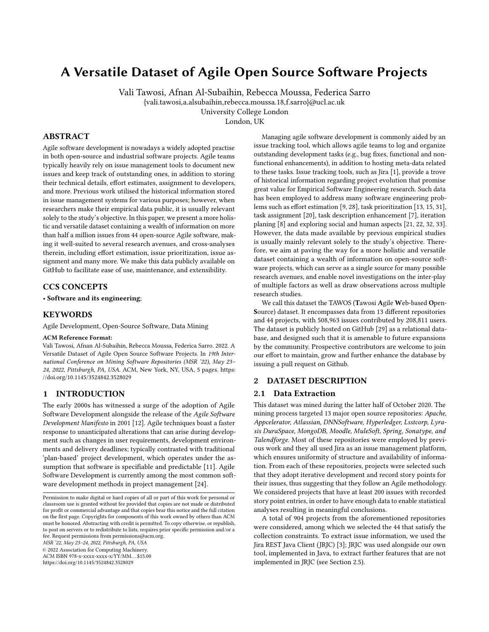# A Versatile Dataset of Agile Open Source Software Projects

Vali Tawosi, Afnan Al-Subaihin, Rebecca Moussa, Federica Sarro {vali.tawosi,a.alsubaihin,rebecca.moussa.18,f.sarro}@ucl.ac.uk University College London

London, UK

### ABSTRACT

Agile software development is nowadays a widely adopted practise in both open-source and industrial software projects. Agile teams typically heavily rely on issue management tools to document new issues and keep track of outstanding ones, in addition to storing their technical details, effort estimates, assignment to developers, and more. Previous work utilised the historical information stored in issue management systems for various purposes; however, when researchers make their empirical data public, it is usually relevant solely to the study's objective. In this paper, we present a more holistic and versatile dataset containing a wealth of information on more than half a million issues from 44 open-source Agile software, making it well-suited to several research avenues, and cross-analyses therein, including effort estimation, issue prioritization, issue assignment and many more. We make this data publicly available on GitHub to facilitate ease of use, maintenance, and extensibility.

#### CCS CONCEPTS

• Software and its engineering;

#### KEYWORDS

Agile Development, Open-Source Software, Data Mining

#### ACM Reference Format:

Vali Tawosi, Afnan Al-Subaihin, Rebecca Moussa, Federica Sarro. 2022. A Versatile Dataset of Agile Open Source Software Projects. In 19th International Conference on Mining Software Repositories (MSR '22), May 23– 24, 2022, Pittsburgh, PA, USA. ACM, New York, NY, USA, [5](#page-4-0) pages. [https:](https://doi.org/10.1145/3524842.3528029) [//doi.org/10.1145/3524842.3528029](https://doi.org/10.1145/3524842.3528029)

#### 1 INTRODUCTION

The early 2000s has witnessed a surge of the adoption of Agile Software Development alongside the release of the Agile Software Development Manifesto in 2001 [\[12\]](#page-4-1). Agile techniques boast a faster response to unanticipated alterations that can arise during development such as changes in user requirements, development environments and delivery deadlines; typically contrasted with traditional 'plan-based' project development, which operates under the assumption that software is specifiable and predictable [\[11\]](#page-4-2). Agile Software Development is currently among the most common software development methods in project management [\[24\]](#page-4-3).

MSR '22, May 23–24, 2022, Pittsburgh, PA, USA

© 2022 Association for Computing Machinery.

ACM ISBN 978-x-xxxx-xxxx-x/YY/MM. . . \$15.00

<https://doi.org/10.1145/3524842.3528029>

Managing agile software development is commonly aided by an issue tracking tool, which allows agile teams to log and organize outstanding development tasks (e.g., bug fixes, functional and nonfunctional enhancements), in addition to hosting meta-data related to these tasks. Issue tracking tools, such as Jira [\[1\]](#page-4-4), provide a trove of historical information regarding project evolution that promise great value for Empirical Software Engineering research. Such data has been employed to address many software engineering problems such as effort estimation [\[9,](#page-4-5) [28\]](#page-4-6), task prioritization [\[13,](#page-4-7) [15,](#page-4-8) [31\]](#page-4-9), task assignment [\[20\]](#page-4-10), task description enhancement [\[7\]](#page-4-11), iteration planing [\[8\]](#page-4-12) and exploring social and human aspects [\[21,](#page-4-13) [22,](#page-4-14) [32,](#page-4-15) [33\]](#page-4-16). However, the data made available by previous empirical studies is usually mainly relevant solely to the study's objective. Therefore, we aim at paving the way for a more holistic and versatile dataset containing a wealth of information on open-source software projects, which can serve as a single source for many possible research avenues, and enable novel investigations on the inter-play of multiple factors as well as draw observations across multiple research studies.

We call this dataset the TAWOS (Tawosi Agile Web-based Open-Source) dataset. It encompasses data from 13 different repositories and 44 projects, with 508,963 issues contributed by 208,811 users. The dataset is publicly hosted on GitHub [\[29\]](#page-4-17) as a relational database, and designed such that it is amenable to future expansions by the community. Prospective contributors are welcome to join our effort to maintain, grow and further enhance the database by issuing a pull request on Github.

#### 2 DATASET DESCRIPTION

#### 2.1 Data Extraction

This dataset was mined during the latter half of October 2020. The mining process targeted 13 major open source repositories: Apache, Appcelerator, Atlassian, DNNSoftware, Hyperledger, Lsstcorp, Lyrasis DuraSpace, MongoDB, Moodle, MuleSoft, Spring, Sonatype, and Talendforge. Most of these repositories were employed by previous work and they all used Jira as an issue management platform, which ensures uniformity of structure and availability of information. From each of these repositories, projects were selected such that they adopt iterative development and record story points for their issues, thus suggesting that they follow an Agile methodology. We considered projects that have at least 200 issues with recorded story point entries, in order to have enough data to enable statistical analyses resulting in meaningful conclusions.

A total of 904 projects from the aforementioned repositories were considered, among which we selected the 44 that satisfy the collection constraints. To extract issue information, we used the Jira REST Java Client (JRJC) [\[3\]](#page-4-18); JRJC was used alongside our own tool, implemented in Java, to extract further features that are not implemented in JRJC (see Section [2.5\)](#page-1-0).

Permission to make digital or hard copies of all or part of this work for personal or classroom use is granted without fee provided that copies are not made or distributed for profit or commercial advantage and that copies bear this notice and the full citation on the first page. Copyrights for components of this work owned by others than ACM must be honored. Abstracting with credit is permitted. To copy otherwise, or republish, to post on servers or to redistribute to lists, requires prior specific permission and/or a fee. Request permissions from permissions@acm.org.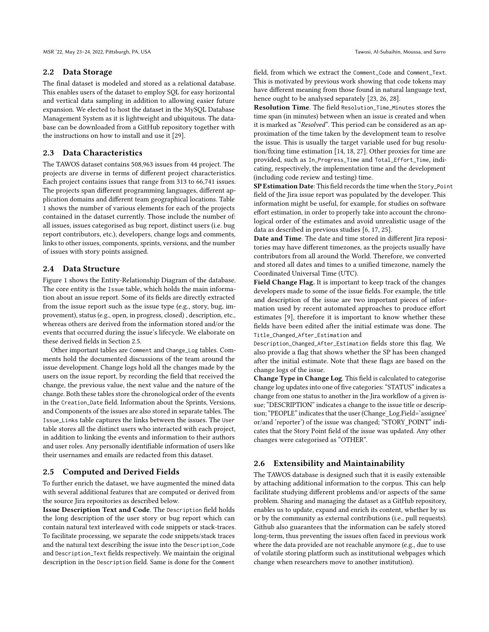#### 2.2 Data Storage

The final dataset is modeled and stored as a relational database. This enables users of the dataset to employ SQL for easy horizontal and vertical data sampling in addition to allowing easier future expansion. We elected to host the dataset in the MySQL Database Management System as it is lightweight and ubiquitous. The database can be downloaded from a GitHub repository together with the instructions on how to install and use it [\[29\]](#page-4-17).

#### 2.3 Data Characteristics

The TAWOS dataset contains 508,963 issues from 44 project. The projects are diverse in terms of different project characteristics. Each project contains issues that range from 313 to 66,741 issues. The projects span different programming languages, different application domains and different team geographical locations. Table [1](#page-3-0) shows the number of various elements for each of the projects contained in the dataset currently. Those include the number of: all issues, issues categorised as bug report, distinct users (i.e. bug report contributors, etc.), developers, change logs and comments, links to other issues, components, sprints, versions, and the number of issues with story points assigned.

#### 2.4 Data Structure

Figure [1](#page-2-0) shows the Entity-Relationship Diagram of the database. The core entity is the Issue table, which holds the main information about an issue report. Some of its fields are directly extracted from the issue report such as the issue type (e.g., story, bug, improvement), status (e.g., open, in progress, closed) , description, etc., whereas others are derived from the information stored and/or the events that occurred during the issue's lifecycle. We elaborate on these derived fields in Section [2.5.](#page-1-0)

Other important tables are Comment and Change\_Log tables. Comments hold the documented discussions of the team around the issue development. Change logs hold all the changes made by the users on the issue report, by recording the field that received the change, the previous value, the next value and the nature of the change. Both these tables store the chronological order of the events in the Creation\_Date field. Information about the Sprints, Versions, and Components of the issues are also stored in separate tables. The Issue\_Links table captures the links between the issues. The User table stores all the distinct users who interacted with each project, in addition to linking the events and information to their authors and user roles. Any personally identifiable information of users like their usernames and emails are redacted from this dataset.

#### <span id="page-1-0"></span>2.5 Computed and Derived Fields

To further enrich the dataset, we have augmented the mined data with several additional features that are computed or derived from the source Jira repositories as described below.

Issue Description Text and Code. The Description field holds the long description of the user story or bug report which can contain natural text interleaved with code snippets or stack-traces. To facilitate processing, we separate the code snippets/stack traces and the natural text describing the issue into the Description\_Code and Description\_Text fields respectively. We maintain the original description in the Description field. Same is done for the Comment

field, from which we extract the Comment\_Code and Comment\_Text. This is motivated by previous work showing that code tokens may have different meaning from those found in natural language text, hence ought to be analysed separately [\[23,](#page-4-19) [26,](#page-4-20) [28\]](#page-4-6).

Resolution Time. The field Resolution\_Time\_Minutes stores the time span (in minutes) between when an issue is created and when it is marked as "Resolved". This period can be considered as an approximation of the time taken by the development team to resolve the issue. This is usually the target variable used for bug resolution/fixing time estimation [\[14,](#page-4-21) [18,](#page-4-22) [27\]](#page-4-23). Other proxies for time are provided, such as In\_Progress\_Time and Total\_Effort\_Time, indicating, respectively, the implementation time and the development (including code review and testing) time.

SP Estimation Date: This field records the time when the Story\_Point field of the Jira issue report was populated by the developer. This information might be useful, for example, for studies on software effort estimation, in order to properly take into account the chronological order of the estimates and avoid unrealistic usage of the data as described in previous studies [\[6,](#page-4-24) [17,](#page-4-25) [25\]](#page-4-26).

Date and Time. The date and time stored in different Jira repositories may have different timezones, as the projects usually have contributors from all around the World. Therefore, we converted and stored all dates and times to a unified timezone, namely the Coordinated Universal Time (UTC).

Field Change Flag. It is important to keep track of the changes developers made to some of the issue fields. For example, the title and description of the issue are two important pieces of information used by recent automated approaches to produce effort estimates [\[9\]](#page-4-5), therefore it is important to know whether these fields have been edited after the initial estimate was done. The Title\_Changed\_After\_Estimation and

Description\_Changed\_After\_Estimation fields store this flag. We also provide a flag that shows whether the SP has been changed after the initial estimate. Note that these flags are based on the change logs of the issue.

Change Type in Change Log. This field is calculated to categorise change log updates into one of five categories: "STATUS" indicates a change from one status to another in the Jira workflow of a given issue; "DESCRIPTION" indicates a change to the issue title or description; "PEOPLE" indicates that the user (Change\_Log.Field='assignee' or/and 'reporter') of the issue was changed; "STORY\_POINT" indicates that the Story Point field of the issue was updated. Any other changes were categorised as "OTHER".

#### 2.6 Extensibility and Maintainability

The TAWOS database is designed such that it is easily extensible by attaching additional information to the corpus. This can help facilitate studying different problems and/or aspects of the same problem. Sharing and managing the dataset as a GitHub repository, enables us to update, expand and enrich its content, whether by us or by the community as external contributions (i.e., pull requests). Github also guarantees that the information can be safely stored long-term, thus preventing the issues often faced in previous work where the data provided are not reachable anymore (e.g., due to use of volatile storing platform such as institutional webpages which change when researchers move to another institution).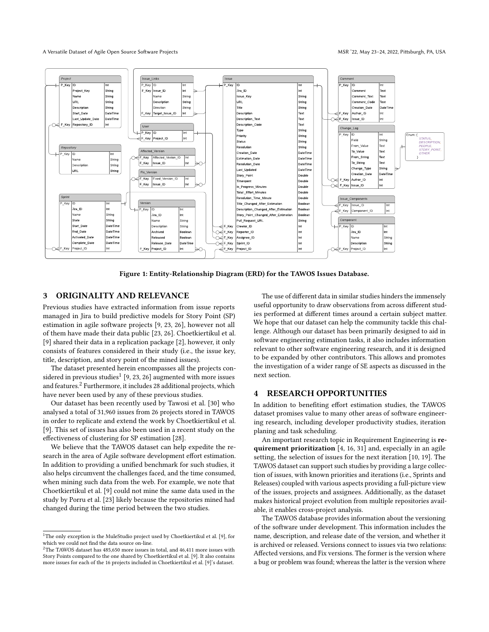#### A Versatile Dataset of Agile Open Source Software Projects MSR '22, May 23-24, 2022, Pittsburgh, PA, USA

<span id="page-2-0"></span>

Figure 1: Entity-Relationship Diagram (ERD) for the TAWOS Issues Database.

## 3 ORIGINALITY AND RELEVANCE

Previous studies have extracted information from issue reports managed in Jira to build predictive models for Story Point (SP) estimation in agile software projects [\[9,](#page-4-5) [23,](#page-4-19) [26\]](#page-4-20), however not all of them have made their data public [\[23,](#page-4-19) [26\]](#page-4-20). Choetkiertikul et al. [\[9\]](#page-4-5) shared their data in a replication package [\[2\]](#page-4-27), however, it only consists of features considered in their study (i.e., the issue key, title, description, and story point of the mined issues).

The dataset presented herein encompasses all the projects considered in previous studies $^1$  $^1$  [\[9,](#page-4-5) [23,](#page-4-19) [26\]](#page-4-20) augmented with more issues and features.[2](#page-2-2) Furthermore, it includes 28 additional projects, which have never been used by any of these previous studies.

Our dataset has been recently used by Tawosi et al. [\[30\]](#page-4-28) who analysed a total of 31,960 issues from 26 projects stored in TAWOS in order to replicate and extend the work by Choetkiertikul et al. [\[9\]](#page-4-5). This set of issues has also been used in a recent study on the effectiveness of clustering for SP estimation [\[28\]](#page-4-6).

We believe that the TAWOS dataset can help expedite the research in the area of Agile software development effort estimation. In addition to providing a unified benchmark for such studies, it also helps circumvent the challenges faced, and the time consumed, when mining such data from the web. For example, we note that Choetkiertikul et al. [\[9\]](#page-4-5) could not mine the same data used in the study by Porru et al. [\[23\]](#page-4-19) likely because the repositories mined had changed during the time period between the two studies.

The use of different data in similar studies hinders the immensely useful opportunity to draw observations from across different studies performed at different times around a certain subject matter. We hope that our dataset can help the community tackle this challenge. Although our dataset has been primarily designed to aid in software engineering estimation tasks, it also includes information relevant to other software engineering research, and it is designed to be expanded by other contributors. This allows and promotes the investigation of a wider range of SE aspects as discussed in the next section.

#### 4 RESEARCH OPPORTUNITIES

In addition to benefiting effort estimation studies, the TAWOS dataset promises value to many other areas of software engineering research, including developer productivity studies, iteration planing and task scheduling.

An important research topic in Requirement Engineering is re-quirement prioritization [\[4,](#page-4-29) [16,](#page-4-30) [31\]](#page-4-9) and, especially in an agile setting, the selection of issues for the next iteration [\[10,](#page-4-31) [19\]](#page-4-32). The TAWOS dataset can support such studies by providing a large collection of issues, with known priorities and iterations (i.e., Sprints and Releases) coupled with various aspects providing a full-picture view of the issues, projects and assignees. Additionally, as the dataset makes historical project evolution from multiple repositories available, it enables cross-project analysis.

The TAWOS database provides information about the versioning of the software under development. This information includes the name, description, and release date of the version, and whether it is archived or released. Versions connect to issues via two relations: Affected versions, and Fix versions. The former is the version where a bug or problem was found; whereas the latter is the version where

<span id="page-2-1"></span><sup>&</sup>lt;sup>1</sup>The only exception is the MuleStudio project used by Choetkiertikul et al. [\[9\]](#page-4-5), for which we could not find the data source on-line.

<span id="page-2-2"></span> $2$ The TAWOS dataset has 485,650 more issues in total, and 46,411 more issues with Story Points compared to the one shared by Choetkiertikul et al. [\[9\]](#page-4-5). It also contains more issues for each of the 16 projects included in Choetkiertikul et al. [\[9\]](#page-4-5)'s dataset.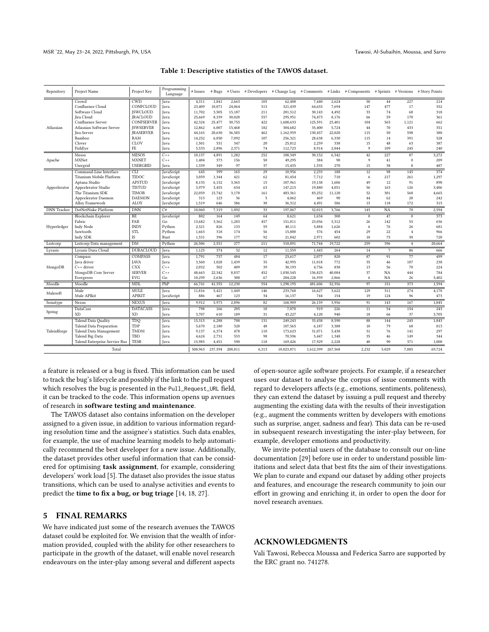<span id="page-3-0"></span>

| Repository         | Project Name                  | Project Key      | Programming<br>Language | # Issues | # Bugs  |         |       | # Users # Developers # Change Log # Comments |           |         | # Links # Components # Sprints # Versions # Story Points |                |                |        |
|--------------------|-------------------------------|------------------|-------------------------|----------|---------|---------|-------|----------------------------------------------|-----------|---------|----------------------------------------------------------|----------------|----------------|--------|
| Atlassian          | Crowd                         | <b>CWD</b>       | Java                    | 4,311    | 1,841   | 2,663   | 105   | 62,408                                       | 7,440     | 2,624   | 50                                                       | 44             | 227            | 214    |
|                    | Confluence Cloud              | CONFCLOUD        | <b>Java</b>             | 23.409   | 10,071  | 24.064  | 513   | 321.439                                      | 64,655    | 7.694   | 147                                                      | 477            | 17             | 352    |
|                    | Software Cloud                | <b>ISWCLOUD</b>  | Java                    | 11,702   | 3,505   | 15,187  | 211   | 201,512                                      | 30,143    | 4,492   | 33                                                       | 74             | 68             | 318    |
|                    | <b>Iira</b> Cloud             | <b>IRACLOUD</b>  | <b>Java</b>             | 25.669   | 8.339   | 30,020  | 557   | 295.951                                      | 74,473    | 8.176   | 66                                                       | 59             | 170            | 361    |
|                    | Confluence Server             | CONFSERVER       | Java                    | 42,324   | 25,477  | 30,755  | 422   | 1,608,633                                    | 125,591   | 23,401  | 104                                                      | 565            | 1,121          | 662    |
|                    | Atlassian Software Server     | <b>ISWSERVER</b> | Java                    | 12,862   | 6,007   | 15,468  | 182   | 304,682                                      | 35,400    | 5,724   | 44                                                       | 70             | 433            | 351    |
|                    | <b>Iira</b> Server            | <b>IRASERVER</b> | Java                    | 44,165   | 20,630  | 36,585  | 462   | 1,162,959                                    | 130,457   | 22,020  | 115                                                      | 50             | 598            | 380    |
|                    | Bamboo                        | BAM              | Java                    | 14,252   | 6,050   | 7,092   | 107   | 256,321                                      | 28,638    | 6,330   | 115                                                      | 14             | 391            | 528    |
|                    | Clover                        | CLOV             | Java                    | 1,501    | 531     | 347     | 20    | 25,812                                       | 2,259     | 338     | 15                                                       | 48             | 63             | 387    |
|                    | FishEye                       | FE               | Java                    | 5,533    | 2,896   | 2,371   | 74    | 112,723                                      | 8,914     | 2,044   | $\mathbf Q$                                              | 109            | 245            | 240    |
| Apache             | Mesos                         | <b>MESOS</b>     | $C++$                   | 10.157   | 4.891   | 1.282   | 252   | 108,349                                      | 30.152    | 6,342   | 42                                                       | 227            | 87             | 3.272  |
|                    | MXNet                         | <b>MXNET</b>     | $C++$                   | 1,404    | 373     | 156     | 50    | 49,295                                       | 384       | 90      | $\mathbf Q$                                              | 41             | $\theta$       | 209    |
|                    | Usergrid                      | <b>USERGRID</b>  | Java                    | 1,339    | 349     | 97      | 37    | 15,435                                       | 1,535     | 270     | 15                                                       | 38             | 8              | 487    |
| Appcelerator       | Command-Line Interface        | <b>CLI</b>       | JavaScript              | 645      | 399     | 165     | 29    | 10,956                                       | 2,233     | 188     | 12                                                       | 98             | 145            | 374    |
|                    | Titanium Mobile Platform      | TIDOC            | JavaScript              | 3,059    | 1,344   | 421     | 62    | 81,454                                       | 7,712     | 710     | 6                                                        | 217            | 261            | 1,297  |
|                    | Aptana Studio                 | <b>APSTUD</b>    | JavaScript              | 8,135    | 6,152   | 3,365   | 15    | 107,961                                      | 19,138    | 1,606   | 49                                                       | 12             | 91             | 890    |
|                    | Appcelerator Studio           | <b>TISTUD</b>    | JavaScript              | 5,979    | 3,455   | 654     | 63    | 147,215                                      | 19,880    | 4,051   | 56                                                       | 163            | 126            | 3,406  |
|                    | The Titanium SDK              | <b>TIMOB</b>     | JavaScript              | 22,059   | 15,742  | 3,170   | 161   | 483,361                                      | 83,252    | 11.120  | 52                                                       | 301            | 568            | 4,665  |
|                    | Appcelerator Daemon           | <b>DAEMON</b>    | JavaScript              | 313      | 123     | 36      | 5     | 4,062                                        | 469       | 90      | 44                                                       | 62             | 20             | 242    |
|                    | Alloy Framework               | ALOY             | JavaScript              | 1,519    | 646     | 386     | 30    | 36,312                                       | 4,491     | 586     | 15                                                       | 118            | 172            | 315    |
| <b>DNN</b> Tracker | DotNetNuke Platform           | <b>DNN</b>       | C#                      | 10,060   | 7,319   | 1,092   | 33    | 197,067                                      | 32,015    | 3,766   | 143                                                      | <b>NA</b>      | 70             | 2,594  |
| Hyperledger        | Blockchain Explorer           | <b>BE</b>        | JavaScript              | 802      | 164     | 149     | 64    | 8,621                                        | 1,634     | 300     | $\theta$                                                 | 47             | $\theta$       | 373    |
|                    | Fabric                        | FAB              | Go                      | 13,682   | 3,562   | 1,283   | 457   | 151,811                                      | 23,056    | 5,312   | 26                                                       | 142            | 55             | 636    |
|                    | Indy Node                     | <b>INDY</b>      | Python                  | 2,321    | 826     | 133     | 59    | 40,111                                       | 5,884     | 1,626   | 6                                                        | 76             | 26             | 681    |
|                    | Sawtooth                      | <b>STL</b>       | Python                  | 1.663    | 318     | 174     | 56    | 15,800                                       | 576       | 454     | 29                                                       | 22             | $\overline{4}$ | 966    |
|                    | Indy SDK                      | IS               | Rust                    | 1,531    | 396     | 177     | 92    | 21,842                                       | 2,971     | 602     | 10                                                       | 75             | 30             | 720    |
| Lsstcorp           | Lsstcorp Data management      | DM               | Python                  | 26,506   | 2,551   | 277     | 211   | 310,891                                      | 71,744    | 19,722  | 259                                                      | 396            | $\overline{4}$ | 20,664 |
| Lyrasis            | Lyrasis Dura Cloud            | <b>DURACLOUD</b> | Java                    | 1,125    | 374     | 32      | 12    | 11,559                                       | 1,443     | 264     | 14                                                       | $\overline{7}$ | 86             | 666    |
| MongoDB            | Compass                       | COMPASS          | Java                    | 1,791    | 737     | 484     | 17    | 23,617                                       | 2,077     | 820     | 87                                                       | 91             | 77             | 499    |
|                    | <b>Java</b> driver            | <b>JAVA</b>      | Java                    | 3,560    | 1,028   | 1,439   | 35    | 42,995                                       | 11,018    | 772     | 35                                                       | 46             | 107            | 238    |
|                    | $C++$ driver                  | <b>CXX</b>       | $C++$                   | 2.032    | 502     | 409     | 39    | 30,193                                       | 4,756     | 838     | 13                                                       | 56             | 70             | 224    |
|                    | MongoDB Core Server           | <b>SERVER</b>    | $C++$                   | 48,663   | 22,342  | 8,837   | 452   | 1,030,545                                    | 136,823   | 40,084  | 37                                                       | NA             | 444            | 784    |
|                    | Evergreen                     | <b>EVG</b>       | Go                      | 10,299   | 2,636   | 300     | 67    | 204,228                                      | 16,939    | 2,866   | 6                                                        | <b>NA</b>      | 26             | 5,402  |
| Moodle             | Moodle                        | MDL              | PhP                     | 66.741   | 41.355  | 12.230  | 554   | 1.298.195                                    | 481.606   | 52.356  | 97                                                       | 151            | 373            | 1.594  |
| Mulesoft           | Mule                          | <b>MULE</b>      | <b>J</b> ava            | 11,816   | 5.421   | 1.449   | 146   | 233.760                                      | 16,627    | 3,622   | 129                                                      | 311            | 274            | 4,170  |
|                    | Mule APIkit                   | APIKIT           | JavaScript              | 886      | 467     | 123     | 34    | 16,137                                       | 744       | 154     | 19                                                       | 124            | 96             | 473    |
|                    | Nexus                         | <b>NEXUS</b>     | Java                    | 9,912    | 5,975   | 2,896   | 82    | 168,909                                      | 26,159    | 3,956   | 91                                                       | 143            | 167            | 1,845  |
| Sonatype           |                               |                  |                         |          |         |         |       |                                              |           |         |                                                          |                |                |        |
| Spring             | <b>DataCass</b>               | <b>DATACASS</b>  | Java                    | 798      | 166     | 205     | 10    | 7,070                                        | 919       | 226     | $\overline{11}$                                          | 54             | 154            | 243    |
|                    | <b>XD</b>                     | <b>XD</b>        | Java                    | 3,707    | 610     | 189     | 31    | 43,227                                       | 4,120     | 940     | 18                                                       | 66             | 37             | 3,705  |
| Talendforge        | <b>Talend Data Quality</b>    | TDO              | Java                    | 15,315   | 6,288   | 708     | 131   | 249,243                                      | 33,438    | 8,590   | 88                                                       | 144            | 245            | 1,843  |
|                    | Talend Data Preparation       | TDP              | Java                    | 5,670    | 2,180   | 320     | 48    | 107,565                                      | 6,187     | 3,388   | 10                                                       | 79             | 68             | 813    |
|                    | Talend Data Management        | <b>TMDM</b>      | Java                    | 9,137    | 6,374   | 478     | 110   | 173,623                                      | 31,071    | 5,438   | 31                                                       | 76             | 141            | 297    |
|                    | Talend Big Data               | TBD              | Java                    | 4,624    | 2,731   | 553     | 98    | 70,596                                       | 5,447     | 1,348   | 35                                                       | 46             | 149            | 344    |
|                    | Talend Enterprise Service Bus | <b>TESB</b>      | Java                    | 15,985   | 4,451   | 590     | 118   | 169,426                                      | 17,929    | 2,228   | 40                                                       | 90             | 371            | 1,000  |
| Total              |                               |                  |                         | 508,963  | 237,594 | 208.811 | 6.313 | 10,023,871                                   | 1,612,399 | 267,568 | 2.232                                                    | 5.029          | 7.885          | 69,724 |

#### Table 1: Descriptive statistics of the TAWOS dataset.

a feature is released or a bug is fixed. This information can be used to track the bug's lifecycle and possibly if the link to the pull request which resolves the bug is presented in the Pull\_Request\_URL field, it can be tracked to the code. This information opens up avenues of research in software testing and maintenance.

The TAWOS dataset also contains information on the developer assigned to a given issue, in addition to various information regarding resolution time and the assignee's statistics. Such data enables, for example, the use of machine learning models to help automatically recommend the best developer for a new issue. Additionally, the dataset provides other useful information that can be considered for optimising task assignment, for example, considering developers' work load [\[5\]](#page-4-33). The dataset also provides the issue status transitions, which can be used to analyse activities and events to predict the time to fix a bug, or bug triage [\[14,](#page-4-21) [18,](#page-4-22) [27\]](#page-4-23).

#### 5 FINAL REMARKS

We have indicated just some of the research avenues the TAWOS dataset could be exploited for. We envision that the wealth of information provided, coupled with the ability for other researchers to participate in the growth of the dataset, will enable novel research endeavours on the inter-play among several and different aspects

of open-source agile software projects. For example, if a researcher uses our dataset to analyse the corpus of issue comments with regard to developers affects (e.g., emotions, sentiments, politeness), they can extend the dataset by issuing a pull request and thereby augmenting the existing data with the results of their investigation (e.g., augment the comments written by developers with emotions such as surprise, anger, sadness and fear). This data can be re-used in subsequent research investigating the inter-play between, for example, developer emotions and productivity.

We invite potential users of the database to consult our on-line documentation [\[29\]](#page-4-17) before use in order to understand possible limitations and select data that best fits the aim of their investigations. We plan to curate and expand our dataset by adding other projects and features, and encourage the research community to join our effort in growing and enriching it, in order to open the door for novel research avenues.

#### ACKNOWLEDGMENTS

Vali Tawosi, Rebecca Moussa and Federica Sarro are supported by the ERC grant no. 741278.